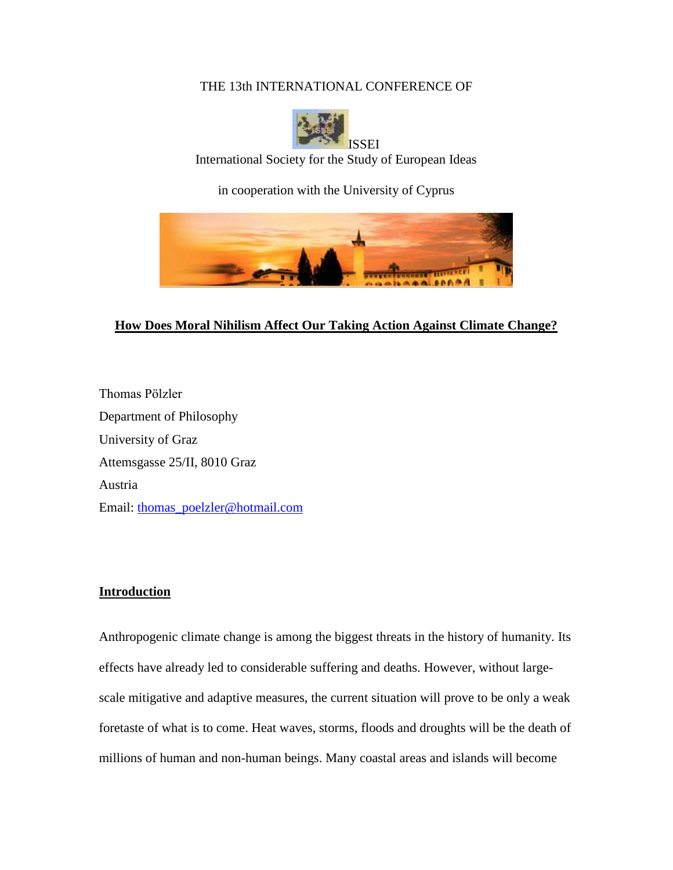### THE 13th INTERNATIONAL CONFERENCE OF



International Society for the Study of European Ideas

in cooperation with the University of Cyprus



# **How Does Moral Nihilism Affect Our Taking Action Against Climate Change?**

Thomas Pölzler Department of Philosophy University of Graz Attemsgasse 25/II, 8010 Graz Austria Email: [thomas\\_poelzler@hotmail.com](mailto:Thomas_poelzler@hotmail.com)

## **Introduction**

Anthropogenic climate change is among the biggest threats in the history of humanity. Its effects have already led to considerable suffering and deaths. However, without largescale mitigative and adaptive measures, the current situation will prove to be only a weak foretaste of what is to come. Heat waves, storms, floods and droughts will be the death of millions of human and non-human beings. Many coastal areas and islands will become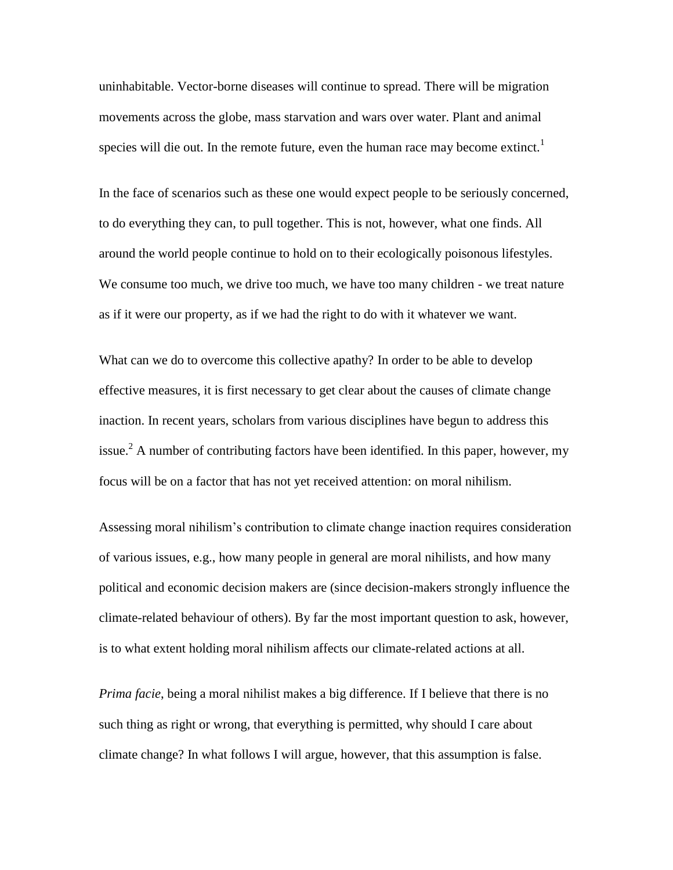uninhabitable. Vector-borne diseases will continue to spread. There will be migration movements across the globe, mass starvation and wars over water. Plant and animal species will die out. In the remote future, even the human race may become extinct.<sup>1</sup>

In the face of scenarios such as these one would expect people to be seriously concerned, to do everything they can, to pull together. This is not, however, what one finds. All around the world people continue to hold on to their ecologically poisonous lifestyles. We consume too much, we drive too much, we have too many children - we treat nature as if it were our property, as if we had the right to do with it whatever we want.

What can we do to overcome this collective apathy? In order to be able to develop effective measures, it is first necessary to get clear about the causes of climate change inaction. In recent years, scholars from various disciplines have begun to address this issue.<sup>2</sup> A number of contributing factors have been identified. In this paper, however, my focus will be on a factor that has not yet received attention: on moral nihilism.

Assessing moral nihilism's contribution to climate change inaction requires consideration of various issues, e.g., how many people in general are moral nihilists, and how many political and economic decision makers are (since decision-makers strongly influence the climate-related behaviour of others). By far the most important question to ask, however, is to what extent holding moral nihilism affects our climate-related actions at all.

*Prima facie*, being a moral nihilist makes a big difference. If I believe that there is no such thing as right or wrong, that everything is permitted, why should I care about climate change? In what follows I will argue, however, that this assumption is false.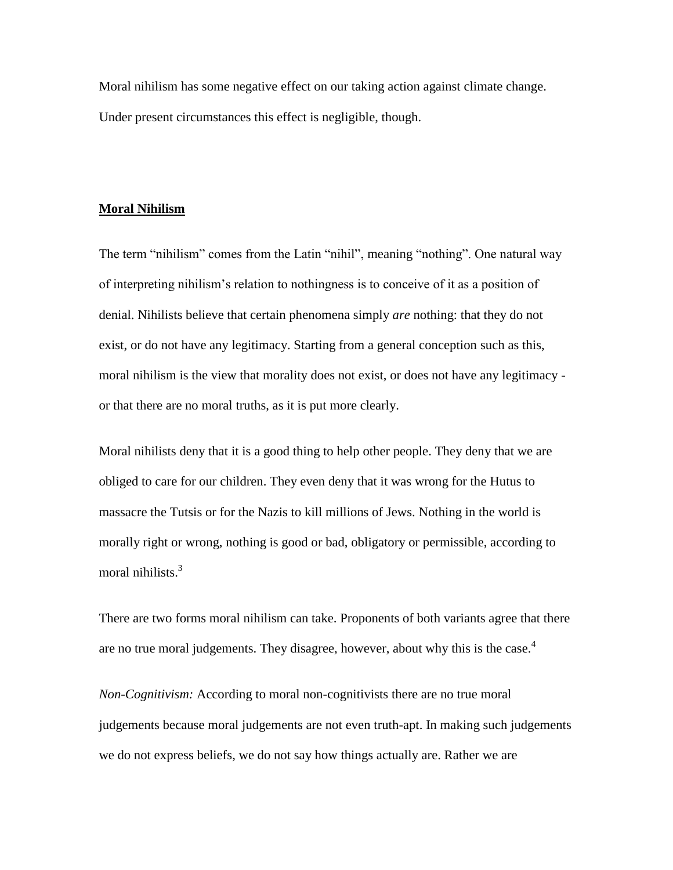Moral nihilism has some negative effect on our taking action against climate change. Under present circumstances this effect is negligible, though.

### **Moral Nihilism**

The term "nihilism" comes from the Latin "nihil", meaning "nothing". One natural way of interpreting nihilism's relation to nothingness is to conceive of it as a position of denial. Nihilists believe that certain phenomena simply *are* nothing: that they do not exist, or do not have any legitimacy. Starting from a general conception such as this, moral nihilism is the view that morality does not exist, or does not have any legitimacy or that there are no moral truths, as it is put more clearly.

Moral nihilists deny that it is a good thing to help other people. They deny that we are obliged to care for our children. They even deny that it was wrong for the Hutus to massacre the Tutsis or for the Nazis to kill millions of Jews. Nothing in the world is morally right or wrong, nothing is good or bad, obligatory or permissible, according to moral nihilists.<sup>3</sup>

There are two forms moral nihilism can take. Proponents of both variants agree that there are no true moral judgements. They disagree, however, about why this is the case. $4$ 

*Non-Cognitivism:* According to moral non-cognitivists there are no true moral judgements because moral judgements are not even truth-apt. In making such judgements we do not express beliefs, we do not say how things actually are. Rather we are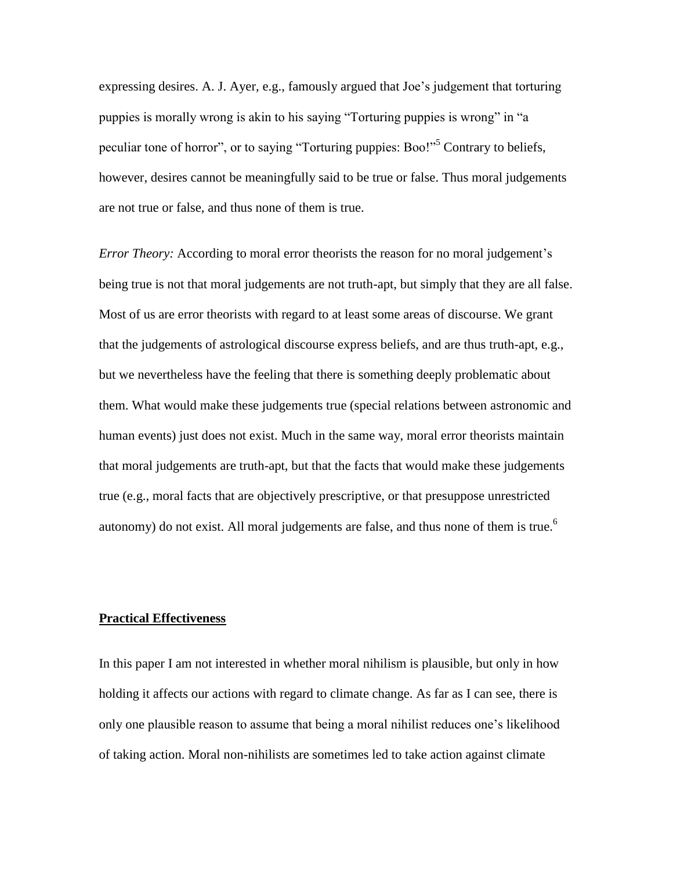expressing desires. A. J. Ayer, e.g., famously argued that Joe's judgement that torturing puppies is morally wrong is akin to his saying "Torturing puppies is wrong" in "a peculiar tone of horror", or to saying "Torturing puppies: Boo!"<sup>5</sup> Contrary to beliefs, however, desires cannot be meaningfully said to be true or false. Thus moral judgements are not true or false, and thus none of them is true.

*Error Theory:* According to moral error theorists the reason for no moral judgement's being true is not that moral judgements are not truth-apt, but simply that they are all false. Most of us are error theorists with regard to at least some areas of discourse. We grant that the judgements of astrological discourse express beliefs, and are thus truth-apt, e.g., but we nevertheless have the feeling that there is something deeply problematic about them. What would make these judgements true (special relations between astronomic and human events) just does not exist. Much in the same way, moral error theorists maintain that moral judgements are truth-apt, but that the facts that would make these judgements true (e.g., moral facts that are objectively prescriptive, or that presuppose unrestricted autonomy) do not exist. All moral judgements are false, and thus none of them is true.<sup>6</sup>

### **Practical Effectiveness**

In this paper I am not interested in whether moral nihilism is plausible, but only in how holding it affects our actions with regard to climate change. As far as I can see, there is only one plausible reason to assume that being a moral nihilist reduces one's likelihood of taking action. Moral non-nihilists are sometimes led to take action against climate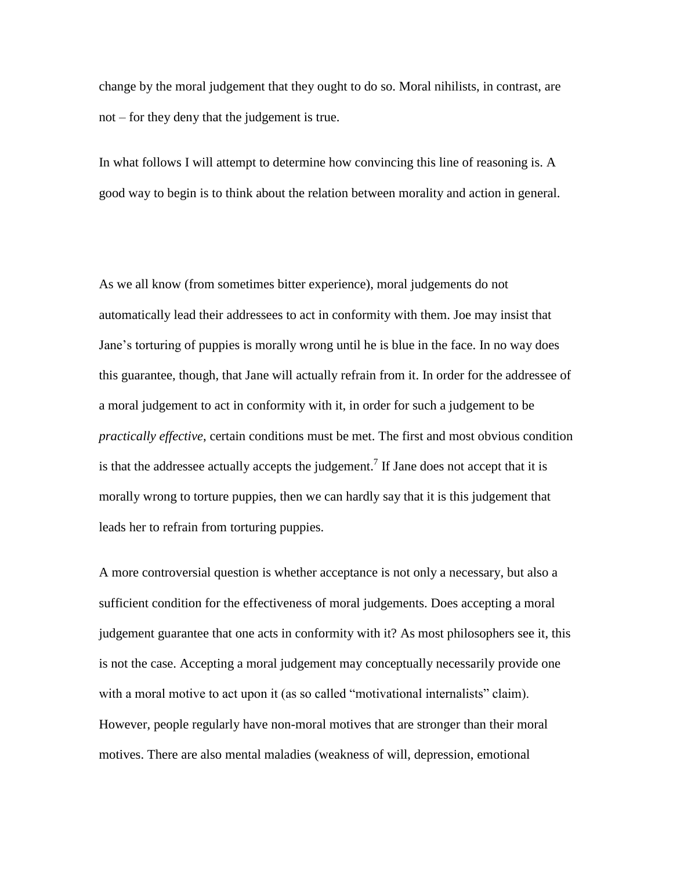change by the moral judgement that they ought to do so. Moral nihilists, in contrast, are not – for they deny that the judgement is true.

In what follows I will attempt to determine how convincing this line of reasoning is. A good way to begin is to think about the relation between morality and action in general.

As we all know (from sometimes bitter experience), moral judgements do not automatically lead their addressees to act in conformity with them. Joe may insist that Jane's torturing of puppies is morally wrong until he is blue in the face. In no way does this guarantee, though, that Jane will actually refrain from it. In order for the addressee of a moral judgement to act in conformity with it, in order for such a judgement to be *practically effective*, certain conditions must be met. The first and most obvious condition is that the addressee actually accepts the judgement.<sup>7</sup> If Jane does not accept that it is morally wrong to torture puppies, then we can hardly say that it is this judgement that leads her to refrain from torturing puppies.

A more controversial question is whether acceptance is not only a necessary, but also a sufficient condition for the effectiveness of moral judgements. Does accepting a moral judgement guarantee that one acts in conformity with it? As most philosophers see it, this is not the case. Accepting a moral judgement may conceptually necessarily provide one with a moral motive to act upon it (as so called "motivational internalists" claim). However, people regularly have non-moral motives that are stronger than their moral motives. There are also mental maladies (weakness of will, depression, emotional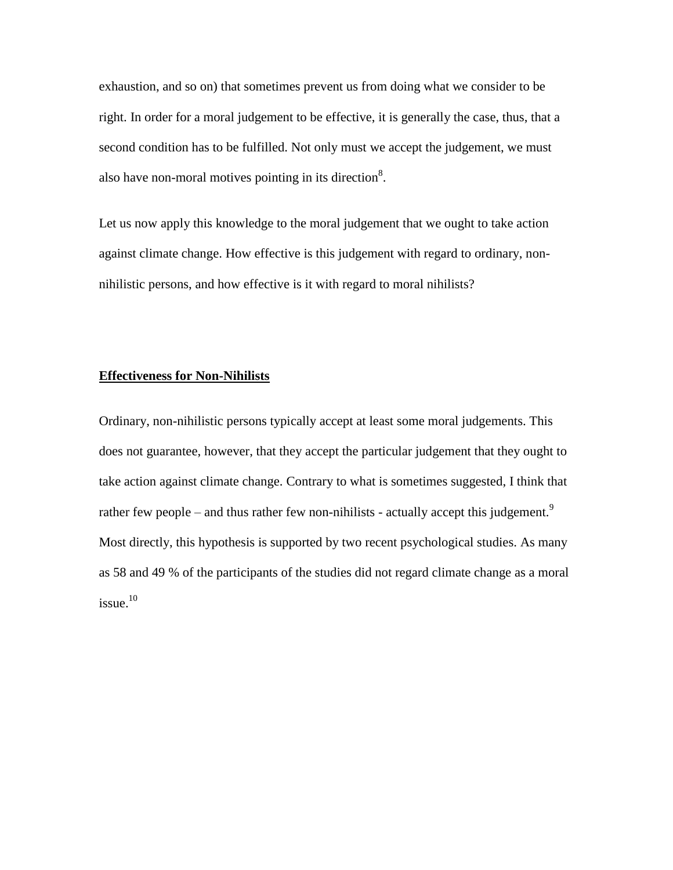exhaustion, and so on) that sometimes prevent us from doing what we consider to be right. In order for a moral judgement to be effective, it is generally the case, thus, that a second condition has to be fulfilled. Not only must we accept the judgement, we must also have non-moral motives pointing in its direction<sup>8</sup>.

Let us now apply this knowledge to the moral judgement that we ought to take action against climate change. How effective is this judgement with regard to ordinary, nonnihilistic persons, and how effective is it with regard to moral nihilists?

### **Effectiveness for Non-Nihilists**

Ordinary, non-nihilistic persons typically accept at least some moral judgements. This does not guarantee, however, that they accept the particular judgement that they ought to take action against climate change. Contrary to what is sometimes suggested, I think that rather few people – and thus rather few non-nihilists - actually accept this judgement.<sup>9</sup> Most directly, this hypothesis is supported by two recent psychological studies. As many as 58 and 49 % of the participants of the studies did not regard climate change as a moral  $i$ ssue. $10$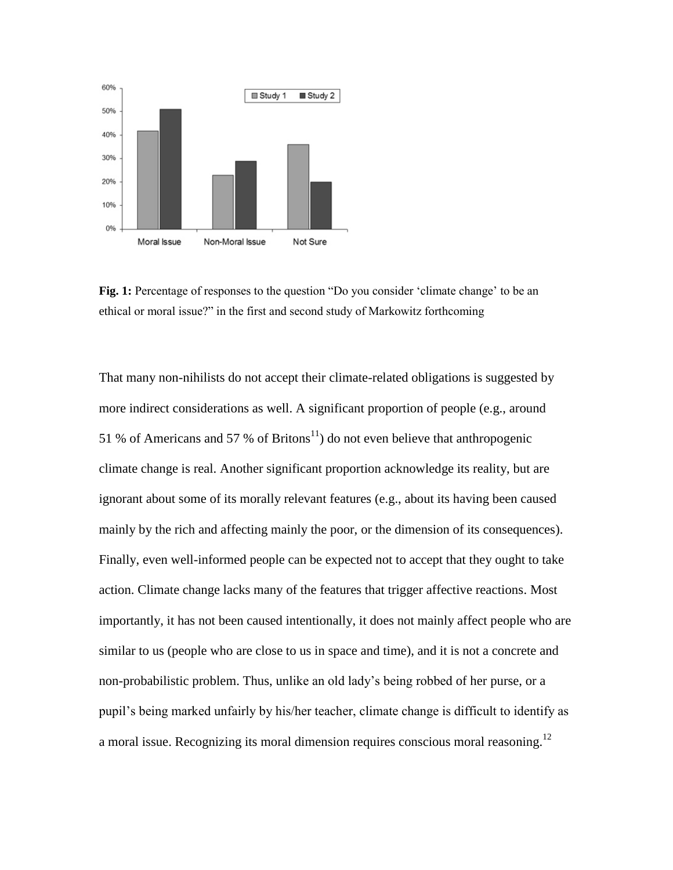

**Fig. 1:** Percentage of responses to the question "Do you consider 'climate change' to be an ethical or moral issue?" in the first and second study of Markowitz forthcoming

That many non-nihilists do not accept their climate-related obligations is suggested by more indirect considerations as well. A significant proportion of people (e.g., around 51 % of Americans and 57 % of Britons<sup>11</sup>) do not even believe that anthropogenic climate change is real. Another significant proportion acknowledge its reality, but are ignorant about some of its morally relevant features (e.g., about its having been caused mainly by the rich and affecting mainly the poor, or the dimension of its consequences). Finally, even well-informed people can be expected not to accept that they ought to take action. Climate change lacks many of the features that trigger affective reactions. Most importantly, it has not been caused intentionally, it does not mainly affect people who are similar to us (people who are close to us in space and time), and it is not a concrete and non-probabilistic problem. Thus, unlike an old lady's being robbed of her purse, or a pupil's being marked unfairly by his/her teacher, climate change is difficult to identify as a moral issue. Recognizing its moral dimension requires conscious moral reasoning.<sup>12</sup>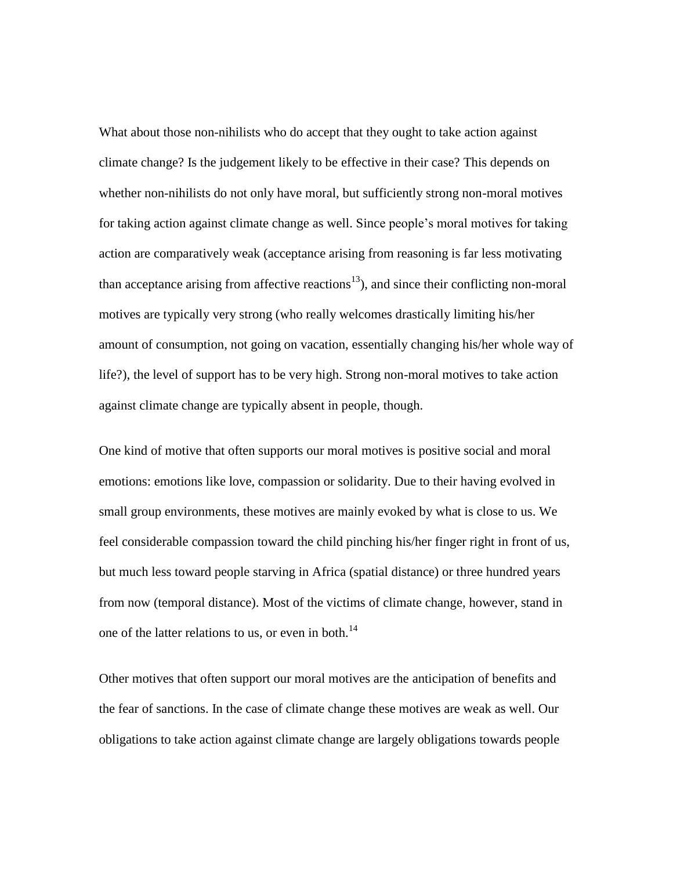What about those non-nihilists who do accept that they ought to take action against climate change? Is the judgement likely to be effective in their case? This depends on whether non-nihilists do not only have moral, but sufficiently strong non-moral motives for taking action against climate change as well. Since people's moral motives for taking action are comparatively weak (acceptance arising from reasoning is far less motivating than acceptance arising from affective reactions<sup>13</sup>), and since their conflicting non-moral motives are typically very strong (who really welcomes drastically limiting his/her amount of consumption, not going on vacation, essentially changing his/her whole way of life?), the level of support has to be very high. Strong non-moral motives to take action against climate change are typically absent in people, though.

One kind of motive that often supports our moral motives is positive social and moral emotions: emotions like love, compassion or solidarity. Due to their having evolved in small group environments, these motives are mainly evoked by what is close to us. We feel considerable compassion toward the child pinching his/her finger right in front of us, but much less toward people starving in Africa (spatial distance) or three hundred years from now (temporal distance). Most of the victims of climate change, however, stand in one of the latter relations to us, or even in both.<sup>14</sup>

Other motives that often support our moral motives are the anticipation of benefits and the fear of sanctions. In the case of climate change these motives are weak as well. Our obligations to take action against climate change are largely obligations towards people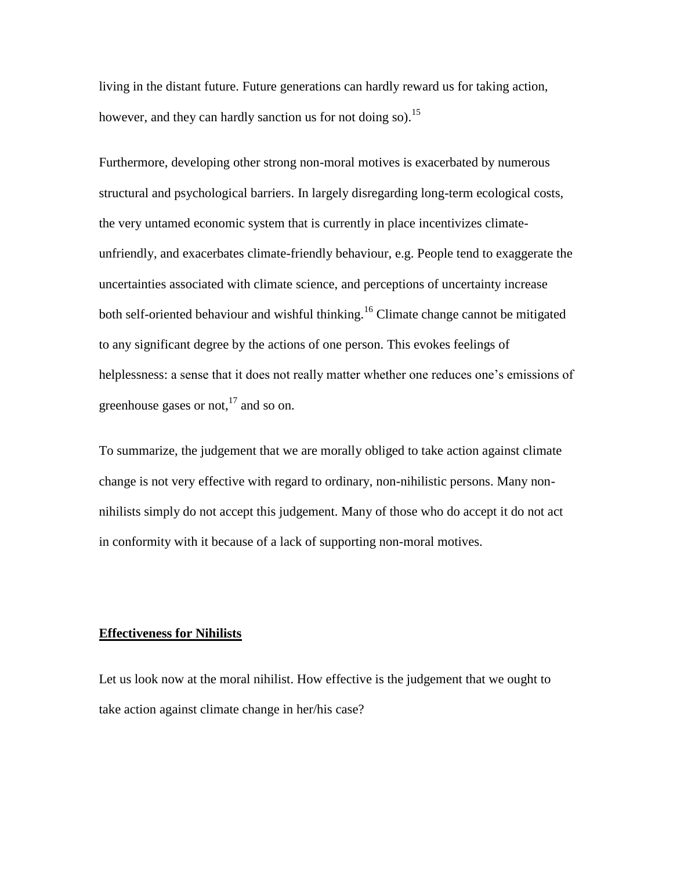living in the distant future. Future generations can hardly reward us for taking action, however, and they can hardly sanction us for not doing so).<sup>15</sup>

Furthermore, developing other strong non-moral motives is exacerbated by numerous structural and psychological barriers. In largely disregarding long-term ecological costs, the very untamed economic system that is currently in place incentivizes climateunfriendly, and exacerbates climate-friendly behaviour, e.g. People tend to exaggerate the uncertainties associated with climate science, and perceptions of uncertainty increase both self-oriented behaviour and wishful thinking.<sup>16</sup> Climate change cannot be mitigated to any significant degree by the actions of one person. This evokes feelings of helplessness: a sense that it does not really matter whether one reduces one's emissions of greenhouse gases or not, $^{17}$  and so on.

To summarize, the judgement that we are morally obliged to take action against climate change is not very effective with regard to ordinary, non-nihilistic persons. Many nonnihilists simply do not accept this judgement. Many of those who do accept it do not act in conformity with it because of a lack of supporting non-moral motives.

#### **Effectiveness for Nihilists**

Let us look now at the moral nihilist. How effective is the judgement that we ought to take action against climate change in her/his case?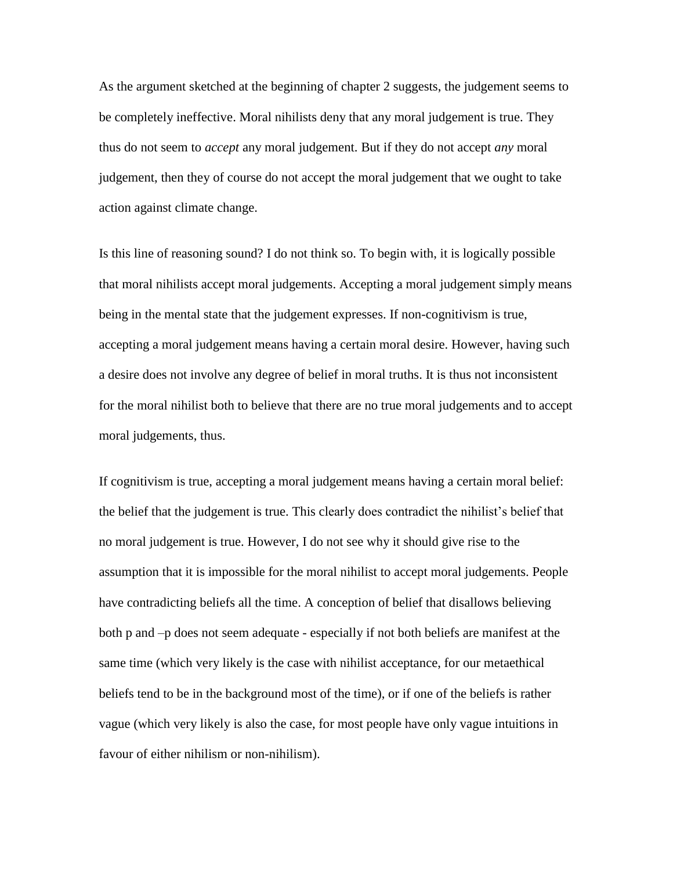As the argument sketched at the beginning of chapter 2 suggests, the judgement seems to be completely ineffective. Moral nihilists deny that any moral judgement is true. They thus do not seem to *accept* any moral judgement. But if they do not accept *any* moral judgement, then they of course do not accept the moral judgement that we ought to take action against climate change.

Is this line of reasoning sound? I do not think so. To begin with, it is logically possible that moral nihilists accept moral judgements. Accepting a moral judgement simply means being in the mental state that the judgement expresses. If non-cognitivism is true, accepting a moral judgement means having a certain moral desire. However, having such a desire does not involve any degree of belief in moral truths. It is thus not inconsistent for the moral nihilist both to believe that there are no true moral judgements and to accept moral judgements, thus.

If cognitivism is true, accepting a moral judgement means having a certain moral belief: the belief that the judgement is true. This clearly does contradict the nihilist's belief that no moral judgement is true. However, I do not see why it should give rise to the assumption that it is impossible for the moral nihilist to accept moral judgements. People have contradicting beliefs all the time. A conception of belief that disallows believing both p and –p does not seem adequate - especially if not both beliefs are manifest at the same time (which very likely is the case with nihilist acceptance, for our metaethical beliefs tend to be in the background most of the time), or if one of the beliefs is rather vague (which very likely is also the case, for most people have only vague intuitions in favour of either nihilism or non-nihilism).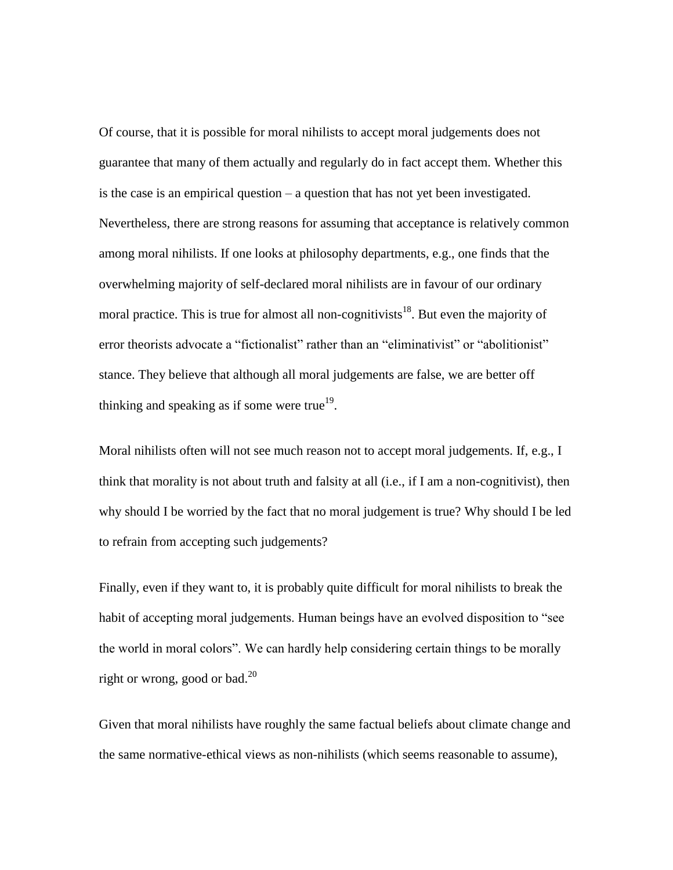Of course, that it is possible for moral nihilists to accept moral judgements does not guarantee that many of them actually and regularly do in fact accept them. Whether this is the case is an empirical question – a question that has not yet been investigated. Nevertheless, there are strong reasons for assuming that acceptance is relatively common among moral nihilists. If one looks at philosophy departments, e.g., one finds that the overwhelming majority of self-declared moral nihilists are in favour of our ordinary moral practice. This is true for almost all non-cognitivists<sup>18</sup>. But even the majority of error theorists advocate a "fictionalist" rather than an "eliminativist" or "abolitionist" stance. They believe that although all moral judgements are false, we are better off thinking and speaking as if some were true<sup>19</sup>.

Moral nihilists often will not see much reason not to accept moral judgements. If, e.g., I think that morality is not about truth and falsity at all (i.e., if I am a non-cognitivist), then why should I be worried by the fact that no moral judgement is true? Why should I be led to refrain from accepting such judgements?

Finally, even if they want to, it is probably quite difficult for moral nihilists to break the habit of accepting moral judgements. Human beings have an evolved disposition to "see the world in moral colors". We can hardly help considering certain things to be morally right or wrong, good or bad.<sup>20</sup>

Given that moral nihilists have roughly the same factual beliefs about climate change and the same normative-ethical views as non-nihilists (which seems reasonable to assume),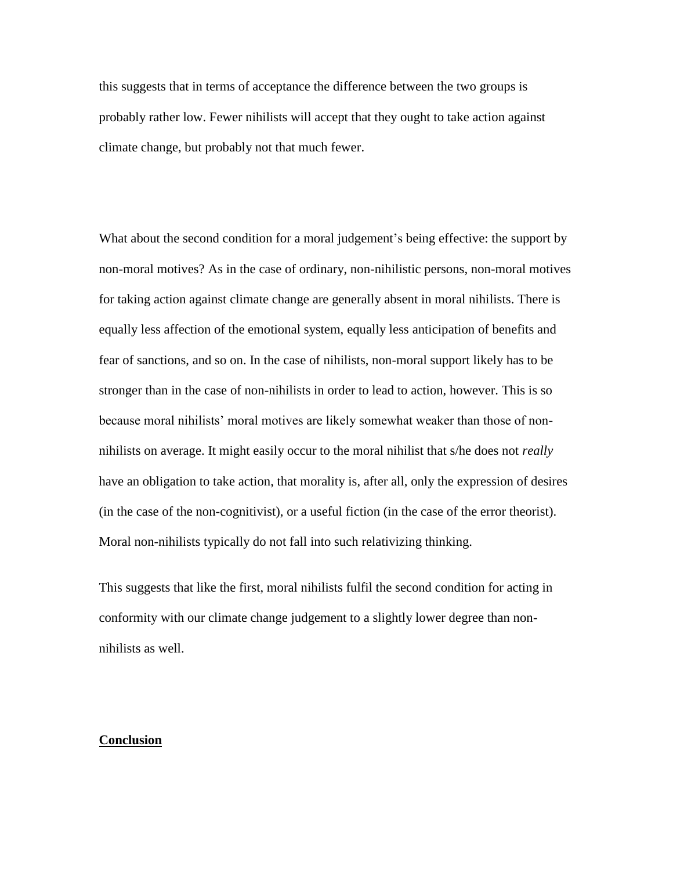this suggests that in terms of acceptance the difference between the two groups is probably rather low. Fewer nihilists will accept that they ought to take action against climate change, but probably not that much fewer.

What about the second condition for a moral judgement's being effective: the support by non-moral motives? As in the case of ordinary, non-nihilistic persons, non-moral motives for taking action against climate change are generally absent in moral nihilists. There is equally less affection of the emotional system, equally less anticipation of benefits and fear of sanctions, and so on. In the case of nihilists, non-moral support likely has to be stronger than in the case of non-nihilists in order to lead to action, however. This is so because moral nihilists' moral motives are likely somewhat weaker than those of nonnihilists on average. It might easily occur to the moral nihilist that s/he does not *really* have an obligation to take action, that morality is, after all, only the expression of desires (in the case of the non-cognitivist), or a useful fiction (in the case of the error theorist). Moral non-nihilists typically do not fall into such relativizing thinking.

This suggests that like the first, moral nihilists fulfil the second condition for acting in conformity with our climate change judgement to a slightly lower degree than nonnihilists as well.

### **Conclusion**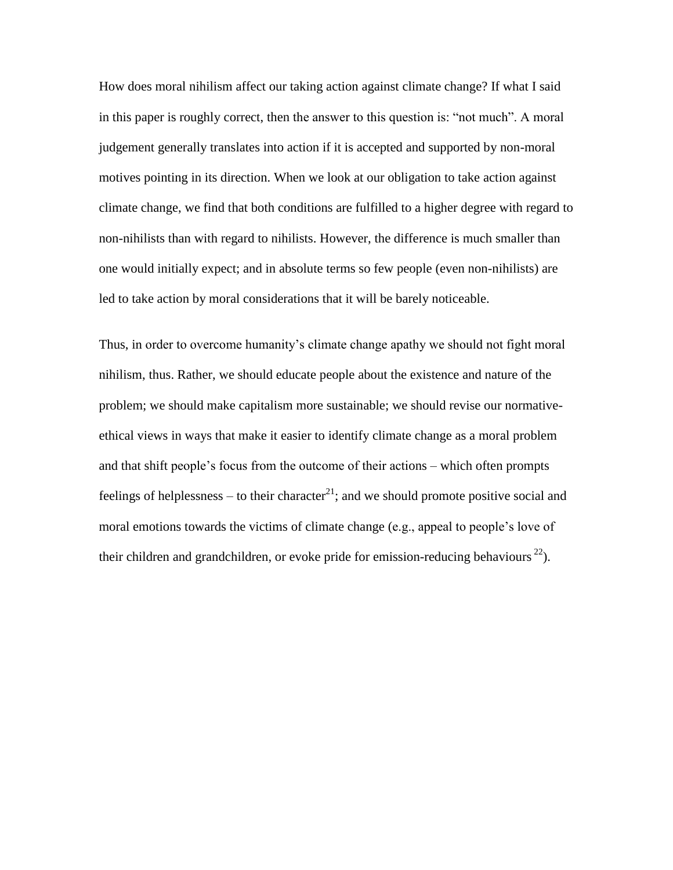How does moral nihilism affect our taking action against climate change? If what I said in this paper is roughly correct, then the answer to this question is: "not much". A moral judgement generally translates into action if it is accepted and supported by non-moral motives pointing in its direction. When we look at our obligation to take action against climate change, we find that both conditions are fulfilled to a higher degree with regard to non-nihilists than with regard to nihilists. However, the difference is much smaller than one would initially expect; and in absolute terms so few people (even non-nihilists) are led to take action by moral considerations that it will be barely noticeable.

Thus, in order to overcome humanity's climate change apathy we should not fight moral nihilism, thus. Rather, we should educate people about the existence and nature of the problem; we should make capitalism more sustainable; we should revise our normativeethical views in ways that make it easier to identify climate change as a moral problem and that shift people's focus from the outcome of their actions – which often prompts feelings of helplessness – to their character<sup>21</sup>; and we should promote positive social and moral emotions towards the victims of climate change (e.g., appeal to people's love of their children and grandchildren, or evoke pride for emission-reducing behaviours  $^{22}$ ).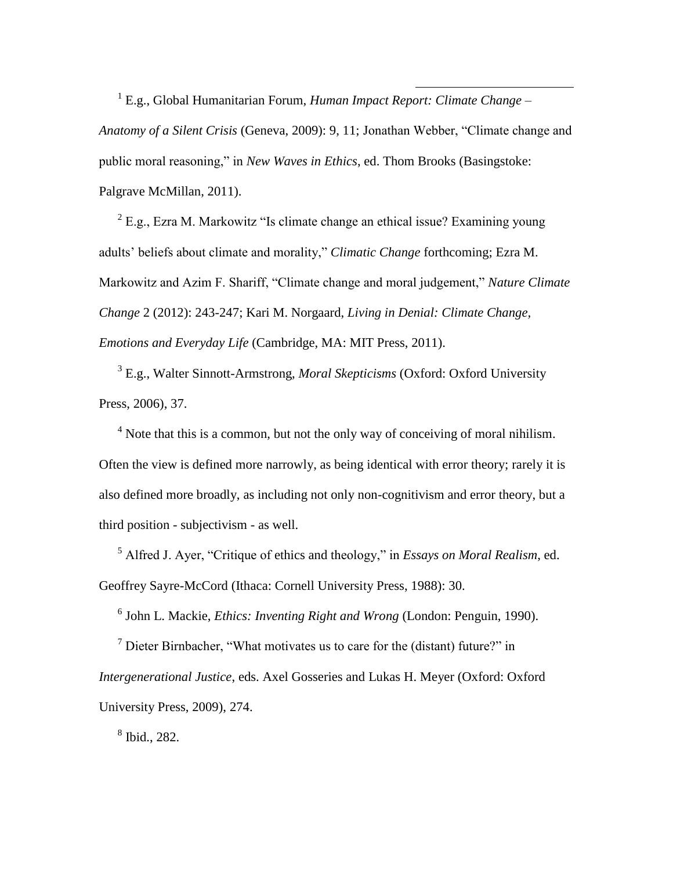1 E.g., Global Humanitarian Forum, *Human Impact Report: Climate Change – Anatomy of a Silent Crisis* (Geneva, 2009): 9, 11; Jonathan Webber, "Climate change and public moral reasoning," in *New Waves in Ethics*, ed. Thom Brooks (Basingstoke: Palgrave McMillan, 2011).

 $2$  E.g., Ezra M. Markowitz "Is climate change an ethical issue? Examining young adults' beliefs about climate and morality," *Climatic Change* forthcoming; Ezra M. Markowitz and Azim F. Shariff, "Climate change and moral judgement," *Nature Climate Change* 2 (2012): 243-247; Kari M. Norgaard, *Living in Denial: Climate Change, Emotions and Everyday Life* (Cambridge, MA: MIT Press, 2011).

3 E.g., Walter Sinnott-Armstrong, *Moral Skepticisms* (Oxford: Oxford University Press, 2006), 37.

<sup>4</sup> Note that this is a common, but not the only way of conceiving of moral nihilism. Often the view is defined more narrowly, as being identical with error theory; rarely it is also defined more broadly, as including not only non-cognitivism and error theory, but a third position - subjectivism - as well.

<sup>5</sup> Alfred J. Ayer, "Critique of ethics and theology," in *Essays on Moral Realism*, ed. Geoffrey Sayre-McCord (Ithaca: Cornell University Press, 1988): 30.

6 John L. Mackie, *Ethics: Inventing Right and Wrong* (London: Penguin, 1990).

 $<sup>7</sup>$  Dieter Birnbacher, "What motivates us to care for the (distant) future?" in</sup> *Intergenerational Justice*, eds. Axel Gosseries and Lukas H. Meyer (Oxford: Oxford University Press, 2009), 274.

8 Ibid., 282.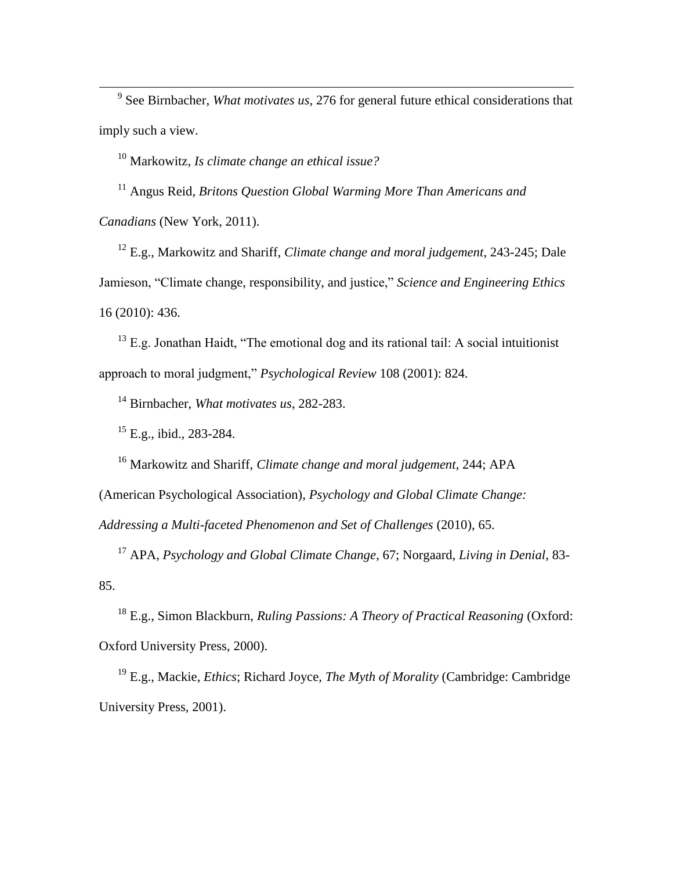9 See Birnbacher, *What motivates us,* 276 for general future ethical considerations that imply such a view.

<sup>10</sup> Markowitz, *Is climate change an ethical issue?*

<sup>11</sup> Angus Reid, *Britons Question Global Warming More Than Americans and Canadians* (New York, 2011).

<sup>12</sup> E.g., Markowitz and Shariff, *Climate change and moral judgement*, 243-245; Dale Jamieson, "Climate change, responsibility, and justice," *Science and Engineering Ethics* 16 (2010): 436.

 $13$  E.g. Jonathan Haidt, "The emotional dog and its rational tail: A social intuitionist approach to moral judgment," *Psychological Review* 108 (2001): 824.

<sup>14</sup> Birnbacher, *What motivates us*, 282-283.

<sup>15</sup> E.g., ibid., 283-284.

 $\overline{\phantom{a}}$ 

<sup>16</sup> Markowitz and Shariff, *Climate change and moral judgement*, 244; APA (American Psychological Association), *Psychology and Global Climate Change: Addressing a Multi-faceted Phenomenon and Set of Challenges* (2010), 65.

<sup>17</sup> APA, *Psychology and Global Climate Change*, 67; Norgaard, *Living in Denial*, 83- 85.

<sup>18</sup> E.g., Simon Blackburn, *Ruling Passions: A Theory of Practical Reasoning* (Oxford: Oxford University Press, 2000).

<sup>19</sup> E.g., Mackie, *Ethics*; Richard Joyce, *The Myth of Morality* (Cambridge: Cambridge University Press, 2001).